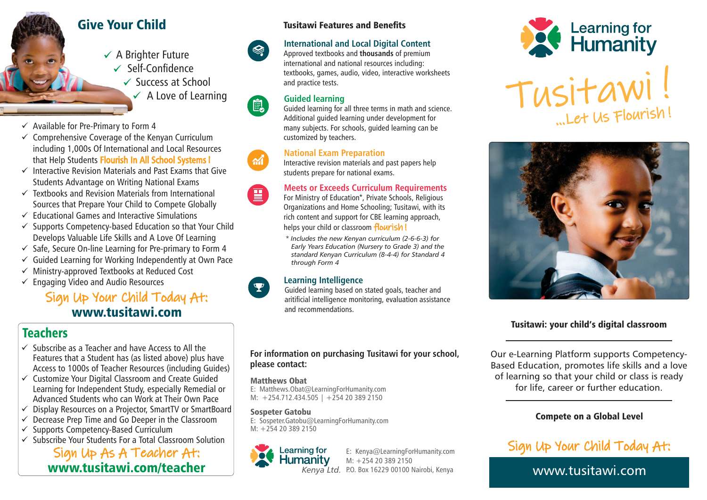# Give Your Child

 $\checkmark$  A Brighter Future Self-Confidence  $\checkmark$  Success at School  $\checkmark$  A Love of Learning

- $\checkmark$  Available for Pre-Primary to Form 4
- $\checkmark$  Comprehensive Coverage of the Kenyan Curriculum including 1,000s Of International and Local Resources that Help Students Flourish In All School Systems!
- $\checkmark$  Interactive Revision Materials and Past Exams that Give Students Advantage on Writing National Exams
- $\checkmark$  Textbooks and Revision Materials from International Sources that Prepare Your Child to Compete Globally
- $\checkmark$  Educational Games and Interactive Simulations
- Supports Competency-based Education so that Your Child Develops Valuable Life Skills and A Love Of Learning
- $\checkmark$  Safe, Secure On-line Learning for Pre-primary to Form 4
- $\checkmark$  Guided Learning for Working Independently at Own Pace
- Ministry-approved Textbooks at Reduced Cost
- Engaging Video and Audio Resources

# www.tusitawi.comSign Up Your Child Today At:

# Teachers

- $\checkmark$  Subscribe as a Teacher and have Access to All the Features that a Student has (as listed above) plus have Access to 1000s of Teacher Resources (including Guides)
- Customize Your Digital Classroom and Create Guided Learning for Independent Study, especially Remedial or Advanced Students who can Work at Their Own Pace
- Display Resources on a Projector, SmartTV or SmartBoard
- $\checkmark$ Decrease Prep Time and Go Deeper in the Classroom
- Supports Competency-Based Curriculum
- Subscribe Your Students For a Total Classroom Solution

# www.tusitawi.com/teacher Sign Up As A Teacher At:

# Tusitawi Features and Benefits

# **International and Local Digital Content**

Approved textbooks and **thousands** of premium international and national resources including: textbooks, games, audio, video, interactive worksheets and practice tests.

# **Guided learning**

 $\text{R}^2$ 

电

 $\boldsymbol{\mathcal{M}}$ 

Guided learning for all three terms in math and science. Additional guided learning under development for many subjects. For schools, guided learning can be customized by teachers.

# **National Exam Preparation**

Interactive revision materials and past papers help students prepare for national exams.

#### **Meets or Exceeds Curriculum Requirements** 国

For Ministry of Education\*, Private Schools, Religious Organizations and Home Schooling; Tusitawi, with its rich content and support for CBE learning approach, helps your child or classroom flourish!

*\* Includes the new Kenyan curriculum (2-6-6-3) for Early Years Education (Nursery to Grade 3) and the standard Kenyan Curriculum (8-4-4) for Standard 4 through Form 4*

# **Learning Intelligence**

Guided learning based on stated goals, teacher and aritificial intelligence monitoring, evaluation assistance and recommendations.

# **For information on purchasing Tusitawi for your school, please contact:**

# Matthews Obat

E: Matthews.Obat@LearningForHumanity.com M:  $+254.712.434.505$  |  $+254.203892150$ 

# Sospeter Gatobu

E: Sospeter.Gatobu@LearningForHumanity.com M: +254 20 389 2150



E: Kenya@LearningForHumanity.com M: +254 20 389 2150 *Kenya Ltd.* P.O. Box 16229 00100 Nairobi, Kenya







# Tusitawi: your child's digital classroom

Our e-Learning Platform supports Competency-Based Education, promotes life skills and a love of learning so that your child or class is ready for life, career or further education.

# Compete on a Global Level

Sign Up Your Child Today At:

www.tusitawi.com